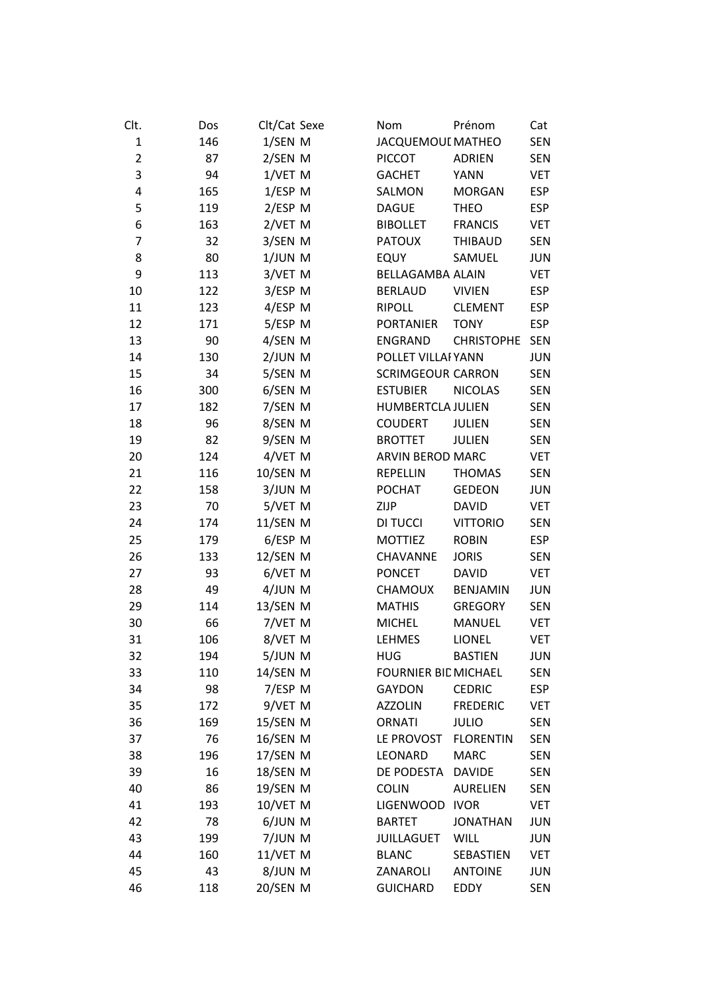| Clt.           | Dos | Clt/Cat Sexe | Prénom<br>Nom                       | Cat        |
|----------------|-----|--------------|-------------------------------------|------------|
| $\mathbf{1}$   | 146 | 1/SEN M      | JACQUEMOUI MATHEO                   | <b>SEN</b> |
| $\overline{2}$ | 87  | 2/SEN M      | <b>PICCOT</b><br><b>ADRIEN</b>      | <b>SEN</b> |
| 3              | 94  | 1/VET M      | <b>GACHET</b><br><b>YANN</b>        | <b>VET</b> |
| 4              | 165 | 1/ESP M      | SALMON<br><b>MORGAN</b>             | <b>ESP</b> |
| 5              | 119 | 2/ESP M      | <b>DAGUE</b><br><b>THEO</b>         | <b>ESP</b> |
| 6              | 163 | 2/VET M      | <b>BIBOLLET</b><br><b>FRANCIS</b>   | <b>VET</b> |
| 7              | 32  | 3/SEN M      | <b>PATOUX</b><br><b>THIBAUD</b>     | <b>SEN</b> |
| 8              | 80  | $1/JUN$ M    | <b>EQUY</b><br>SAMUEL               | <b>JUN</b> |
| 9              | 113 | 3/VET M      | <b>BELLAGAMBA ALAIN</b>             | <b>VET</b> |
| 10             | 122 | 3/ESP M      | <b>VIVIEN</b><br><b>BERLAUD</b>     | <b>ESP</b> |
| 11             | 123 | 4/ESP M      | <b>RIPOLL</b><br><b>CLEMENT</b>     | <b>ESP</b> |
| 12             | 171 | 5/ESP M      | <b>PORTANIER</b><br><b>TONY</b>     | <b>ESP</b> |
| 13             | 90  | 4/SEN M      | <b>ENGRAND</b><br><b>CHRISTOPHE</b> | <b>SEN</b> |
| 14             | 130 | $2/JUN$ M    | POLLET VILLAI YANN                  | <b>JUN</b> |
| 15             | 34  | 5/SEN M      | <b>SCRIMGEOUR CARRON</b>            | <b>SEN</b> |
| 16             | 300 | 6/SEN M      | <b>ESTUBIER</b><br><b>NICOLAS</b>   | <b>SEN</b> |
| 17             | 182 | 7/SEN M      | <b>HUMBERTCLA JULIEN</b>            | <b>SEN</b> |
| 18             | 96  | 8/SEN M      | <b>COUDERT</b><br><b>JULIEN</b>     | <b>SEN</b> |
| 19             | 82  | 9/SEN M      | <b>BROTTET</b><br><b>JULIEN</b>     | <b>SEN</b> |
| 20             | 124 | 4/VET M      | ARVIN BEROD MARC                    | <b>VET</b> |
| 21             | 116 | 10/SEN M     | <b>REPELLIN</b><br><b>THOMAS</b>    | <b>SEN</b> |
| 22             | 158 | 3/JUN M      | <b>POCHAT</b><br><b>GEDEON</b>      | <b>JUN</b> |
| 23             | 70  | 5/VET M      | <b>DAVID</b><br>ZIJP                | <b>VET</b> |
| 24             | 174 | 11/SEN M     | <b>VITTORIO</b><br>DI TUCCI         | <b>SEN</b> |
| 25             | 179 | 6/ESP M      | <b>MOTTIEZ</b><br><b>ROBIN</b>      | <b>ESP</b> |
| 26             | 133 | 12/SEN M     | CHAVANNE<br><b>JORIS</b>            | <b>SEN</b> |
| 27             | 93  | 6/VET M      | <b>PONCET</b><br><b>DAVID</b>       | <b>VET</b> |
| 28             | 49  | 4/JUN M      | <b>CHAMOUX</b><br><b>BENJAMIN</b>   | <b>JUN</b> |
| 29             | 114 | 13/SEN M     | <b>MATHIS</b><br><b>GREGORY</b>     | <b>SEN</b> |
| 30             | 66  | 7/VET M      | <b>MICHEL</b><br><b>MANUEL</b>      | VET        |
| 31             | 106 | 8/VET M      | <b>LEHMES</b><br><b>LIONEL</b>      | <b>VET</b> |
| 32             | 194 | 5/JUN M      | HUG<br><b>BASTIEN</b>               | JUN        |
| 33             | 110 | 14/SEN M     | <b>FOURNIER BIL MICHAEL</b>         | <b>SEN</b> |
| 34             | 98  | 7/ESP M      | <b>GAYDON</b><br><b>CEDRIC</b>      | <b>ESP</b> |
| 35             | 172 | 9/VET M      | <b>AZZOLIN</b><br><b>FREDERIC</b>   | <b>VET</b> |
| 36             | 169 | 15/SEN M     | <b>ORNATI</b><br><b>JULIO</b>       | <b>SEN</b> |
| 37             | 76  | 16/SEN M     | LE PROVOST<br><b>FLORENTIN</b>      | <b>SEN</b> |
| 38             | 196 | 17/SEN M     | LEONARD<br><b>MARC</b>              | <b>SEN</b> |
| 39             | 16  | 18/SEN M     | DE PODESTA<br><b>DAVIDE</b>         | <b>SEN</b> |
| 40             | 86  | 19/SEN M     | <b>COLIN</b><br><b>AURELIEN</b>     | <b>SEN</b> |
| 41             | 193 | 10/VET M     | <b>LIGENWOOD</b><br><b>IVOR</b>     | <b>VET</b> |
| 42             | 78  | 6/JUN M      | <b>BARTET</b><br><b>JONATHAN</b>    | <b>JUN</b> |
| 43             | 199 | 7/JUN M      | <b>WILL</b><br><b>JUILLAGUET</b>    | <b>JUN</b> |
| 44             | 160 | 11/VET M     | <b>BLANC</b><br>SEBASTIEN           | <b>VET</b> |
| 45             | 43  | 8/JUN M      | ZANAROLI<br><b>ANTOINE</b>          | <b>JUN</b> |
| 46             | 118 | 20/SEN M     | <b>GUICHARD</b><br>EDDY             | <b>SEN</b> |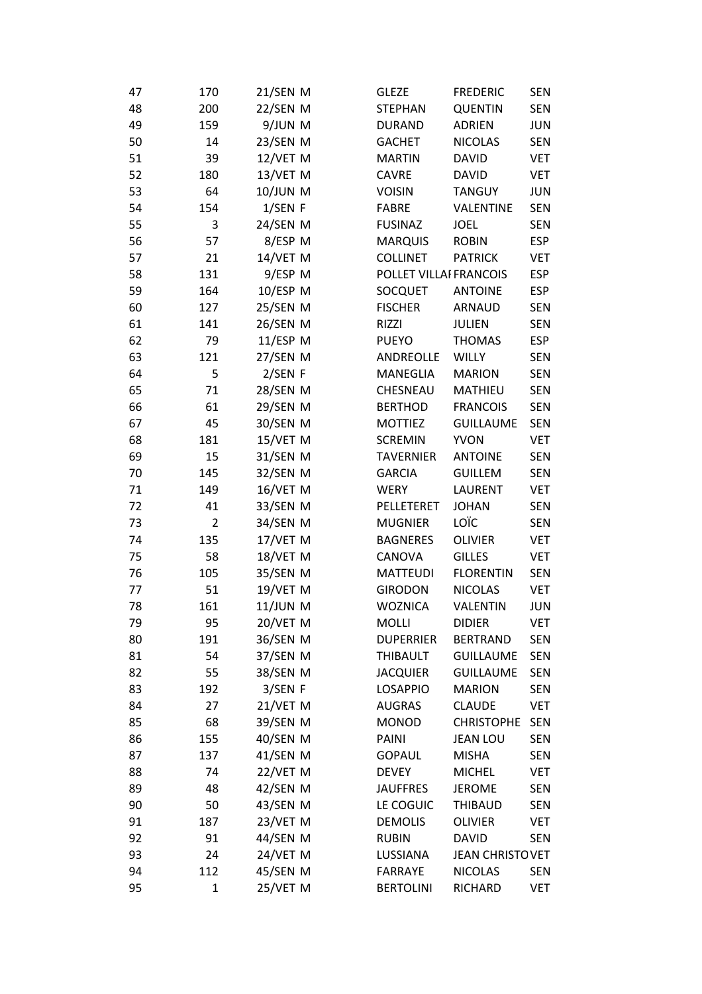| 47 | 170            | 21/SEN M        | <b>GLEZE</b>           | <b>FREDERIC</b>   | <b>SEN</b> |
|----|----------------|-----------------|------------------------|-------------------|------------|
| 48 | 200            | 22/SEN M        | <b>STEPHAN</b>         | <b>QUENTIN</b>    | <b>SEN</b> |
| 49 | 159            | 9/JUN M         | <b>DURAND</b>          | <b>ADRIEN</b>     | <b>JUN</b> |
| 50 | 14             | 23/SEN M        | <b>GACHET</b>          | <b>NICOLAS</b>    | <b>SEN</b> |
| 51 | 39             | 12/VET M        | <b>MARTIN</b>          | <b>DAVID</b>      | <b>VET</b> |
| 52 | 180            | 13/VET M        | <b>CAVRE</b>           | <b>DAVID</b>      | <b>VET</b> |
| 53 | 64             | 10/JUN M        | <b>VOISIN</b>          | <b>TANGUY</b>     | <b>JUN</b> |
| 54 | 154            | 1/SEN F         | <b>FABRE</b>           | VALENTINE         | <b>SEN</b> |
| 55 | 3              | 24/SEN M        | <b>FUSINAZ</b>         | <b>JOEL</b>       | <b>SEN</b> |
| 56 | 57             | 8/ESP M         | <b>MARQUIS</b>         | <b>ROBIN</b>      | <b>ESP</b> |
| 57 | 21             | 14/VET M        | <b>COLLINET</b>        | <b>PATRICK</b>    | <b>VET</b> |
| 58 | 131            | 9/ESP M         | POLLET VILLAI FRANCOIS |                   | <b>ESP</b> |
| 59 | 164            | 10/ESP M        | <b>SOCQUET</b>         | <b>ANTOINE</b>    | <b>ESP</b> |
| 60 | 127            | 25/SEN M        | <b>FISCHER</b>         | <b>ARNAUD</b>     | <b>SEN</b> |
| 61 | 141            | 26/SEN M        | RIZZI                  | <b>JULIEN</b>     | <b>SEN</b> |
| 62 | 79             | 11/ESP M        | <b>PUEYO</b>           | <b>THOMAS</b>     | <b>ESP</b> |
| 63 | 121            | 27/SEN M        | ANDREOLLE              | <b>WILLY</b>      | <b>SEN</b> |
| 64 | 5              | 2/SEN F         | MANEGLIA               | <b>MARION</b>     | <b>SEN</b> |
| 65 | 71             | 28/SEN M        | CHESNEAU               | <b>MATHIEU</b>    | <b>SEN</b> |
| 66 | 61             | 29/SEN M        | <b>BERTHOD</b>         | <b>FRANCOIS</b>   | <b>SEN</b> |
| 67 | 45             | 30/SEN M        | <b>MOTTIEZ</b>         | <b>GUILLAUME</b>  | <b>SEN</b> |
| 68 | 181            | 15/VET M        | <b>SCREMIN</b>         | <b>YVON</b>       | <b>VET</b> |
| 69 | 15             | 31/SEN M        | <b>TAVERNIER</b>       | <b>ANTOINE</b>    | <b>SEN</b> |
| 70 | 145            | 32/SEN M        | <b>GARCIA</b>          | <b>GUILLEM</b>    | <b>SEN</b> |
| 71 | 149            | 16/VET M        | <b>WERY</b>            | <b>LAURENT</b>    | <b>VET</b> |
| 72 | 41             | 33/SEN M        | PELLETERET             | <b>JOHAN</b>      | <b>SEN</b> |
| 73 | $\overline{2}$ | 34/SEN M        | <b>MUGNIER</b>         | LOÏC              | <b>SEN</b> |
| 74 | 135            | 17/VET M        | <b>BAGNERES</b>        | <b>OLIVIER</b>    | <b>VET</b> |
| 75 | 58             | 18/VET M        | CANOVA                 | <b>GILLES</b>     | <b>VET</b> |
| 76 | 105            | 35/SEN M        | MATTEUDI               | <b>FLORENTIN</b>  | <b>SEN</b> |
| 77 | 51             | 19/VET M        | <b>GIRODON</b>         | <b>NICOLAS</b>    | <b>VET</b> |
| 78 | 161            | <b>11/JUN M</b> | <b>WOZNICA</b>         | <b>VALENTIN</b>   | <b>JUN</b> |
| 79 | 95             | 20/VET M        | <b>MOLLI</b>           | <b>DIDIER</b>     | <b>VET</b> |
| 80 | 191            | 36/SEN M        | <b>DUPERRIER</b>       | <b>BERTRAND</b>   | <b>SEN</b> |
| 81 | 54             | 37/SEN M        | <b>THIBAULT</b>        | <b>GUILLAUME</b>  | <b>SEN</b> |
| 82 | 55             | 38/SEN M        | <b>JACQUIER</b>        | <b>GUILLAUME</b>  | <b>SEN</b> |
| 83 | 192            | 3/SEN F         | <b>LOSAPPIO</b>        | <b>MARION</b>     | <b>SEN</b> |
| 84 | 27             | 21/VET M        | <b>AUGRAS</b>          | <b>CLAUDE</b>     | <b>VET</b> |
| 85 | 68             | 39/SEN M        | <b>MONOD</b>           | <b>CHRISTOPHE</b> | <b>SEN</b> |
| 86 | 155            | 40/SEN M        | PAINI                  | <b>JEAN LOU</b>   | <b>SEN</b> |
| 87 | 137            | 41/SEN M        | <b>GOPAUL</b>          | <b>MISHA</b>      | <b>SEN</b> |
| 88 | 74             | 22/VET M        | <b>DEVEY</b>           | <b>MICHEL</b>     | <b>VET</b> |
| 89 | 48             | 42/SEN M        | <b>JAUFFRES</b>        | <b>JEROME</b>     | <b>SEN</b> |
| 90 | 50             | 43/SEN M        | LE COGUIC              | <b>THIBAUD</b>    | <b>SEN</b> |
| 91 | 187            | 23/VET M        | <b>DEMOLIS</b>         | <b>OLIVIER</b>    | <b>VET</b> |
| 92 | 91             | 44/SEN M        | <b>RUBIN</b>           | <b>DAVID</b>      | <b>SEN</b> |
| 93 | 24             | 24/VET M        | LUSSIANA               | JEAN CHRISTO VET  |            |
| 94 | 112            | 45/SEN M        | <b>FARRAYE</b>         | <b>NICOLAS</b>    | <b>SEN</b> |
| 95 | $\mathbf{1}$   | 25/VET M        | <b>BERTOLINI</b>       | RICHARD           | <b>VET</b> |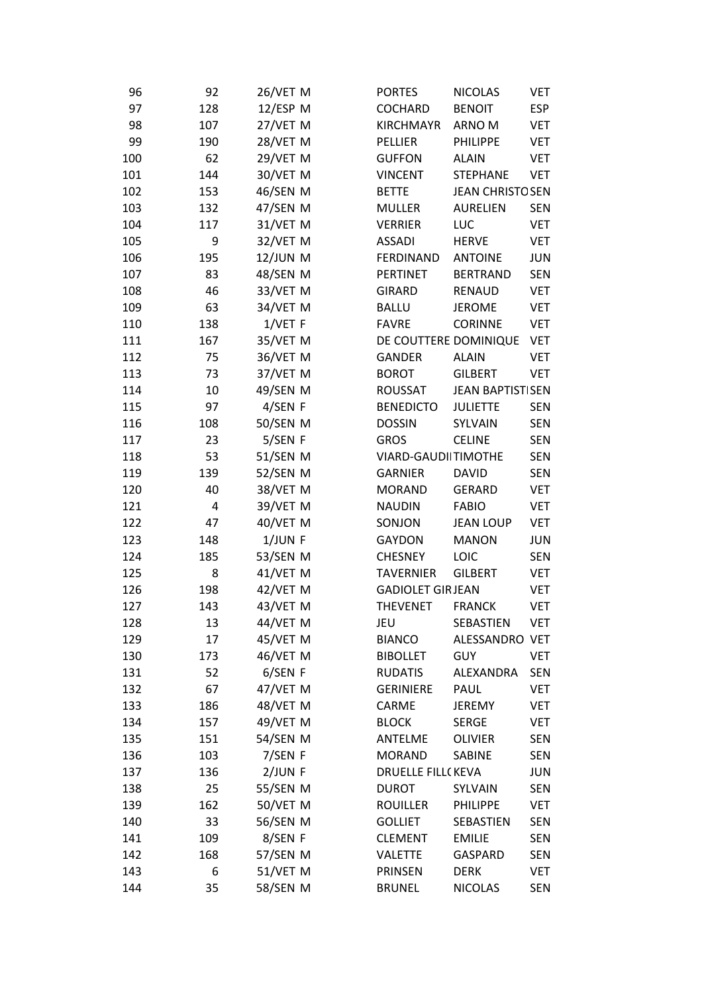| 96  | 92  | 26/VET M        | <b>PORTES</b>            | <b>NICOLAS</b>          | VET        |
|-----|-----|-----------------|--------------------------|-------------------------|------------|
| 97  | 128 | 12/ESP M        | <b>COCHARD</b>           | <b>BENOIT</b>           | <b>ESP</b> |
| 98  | 107 | 27/VET M        | <b>KIRCHMAYR</b>         | ARNO M                  | <b>VET</b> |
| 99  | 190 | 28/VET M        | <b>PELLIER</b>           | <b>PHILIPPE</b>         | <b>VET</b> |
| 100 | 62  | 29/VET M        | <b>GUFFON</b>            | <b>ALAIN</b>            | <b>VET</b> |
| 101 | 144 | 30/VET M        | <b>VINCENT</b>           | <b>STEPHANE</b>         | <b>VET</b> |
| 102 | 153 | 46/SEN M        | <b>BETTE</b>             | <b>JEAN CHRISTO SEN</b> |            |
| 103 | 132 | 47/SEN M        | <b>MULLER</b>            | <b>AURELIEN</b>         | <b>SEN</b> |
| 104 | 117 | 31/VET M        | <b>VERRIER</b>           | <b>LUC</b>              | <b>VET</b> |
| 105 | 9   | 32/VET M        | <b>ASSADI</b>            | <b>HERVE</b>            | <b>VET</b> |
| 106 | 195 | <b>12/JUN M</b> | <b>FERDINAND</b>         | <b>ANTOINE</b>          | <b>JUN</b> |
| 107 | 83  | 48/SEN M        | <b>PERTINET</b>          | <b>BERTRAND</b>         | <b>SEN</b> |
| 108 | 46  | 33/VET M        | <b>GIRARD</b>            | <b>RENAUD</b>           | <b>VET</b> |
| 109 | 63  | 34/VET M        | <b>BALLU</b>             | <b>JEROME</b>           | <b>VET</b> |
| 110 | 138 | $1/$ VET F      | <b>FAVRE</b>             | <b>CORINNE</b>          | <b>VET</b> |
| 111 | 167 | 35/VET M        | DE COUTTERE DOMINIQUE    |                         | <b>VET</b> |
| 112 | 75  | 36/VET M        | <b>GANDER</b>            | <b>ALAIN</b>            | <b>VET</b> |
| 113 | 73  | 37/VET M        | <b>BOROT</b>             | <b>GILBERT</b>          | <b>VET</b> |
| 114 | 10  | 49/SEN M        | <b>ROUSSAT</b>           | <b>JEAN BAPTISTISEN</b> |            |
| 115 | 97  | 4/SEN F         | <b>BENEDICTO</b>         | <b>JULIETTE</b>         | <b>SEN</b> |
| 116 | 108 | 50/SEN M        | <b>DOSSIN</b>            | SYLVAIN                 | <b>SEN</b> |
| 117 | 23  | 5/SEN F         | <b>GROS</b>              | <b>CELINE</b>           | <b>SEN</b> |
| 118 | 53  | 51/SEN M        | VIARD-GAUDIITIMOTHE      |                         | <b>SEN</b> |
| 119 | 139 | 52/SEN M        | <b>GARNIER</b>           | <b>DAVID</b>            | <b>SEN</b> |
| 120 | 40  | 38/VET M        | <b>MORAND</b>            | <b>GERARD</b>           | <b>VET</b> |
| 121 | 4   | 39/VET M        | <b>NAUDIN</b>            | <b>FABIO</b>            | <b>VET</b> |
| 122 | 47  | 40/VET M        | SONJON                   | <b>JEAN LOUP</b>        | <b>VET</b> |
| 123 | 148 | $1/JUN$ F       | <b>GAYDON</b>            | <b>MANON</b>            | <b>JUN</b> |
| 124 | 185 | 53/SEN M        | <b>CHESNEY</b>           | LOIC                    | <b>SEN</b> |
| 125 | 8   | 41/VET M        | <b>TAVERNIER</b>         | <b>GILBERT</b>          | <b>VET</b> |
| 126 | 198 | 42/VET M        | <b>GADIOLET GIRJEAN</b>  |                         | <b>VET</b> |
| 127 | 143 | 43/VET M        | <b>THEVENET</b>          | <b>FRANCK</b>           | <b>VET</b> |
| 128 | 13  | 44/VET M        | JEU                      | SEBASTIEN               | <b>VET</b> |
| 129 | 17  | 45/VET M        | <b>BIANCO</b>            | ALESSANDRO VET          |            |
| 130 | 173 | 46/VET M        | <b>BIBOLLET</b>          | <b>GUY</b>              | <b>VET</b> |
| 131 | 52  | 6/SEN F         | <b>RUDATIS</b>           | ALEXANDRA               | <b>SEN</b> |
| 132 | 67  | 47/VET M        | <b>GERINIERE</b>         | PAUL                    | <b>VET</b> |
| 133 | 186 | 48/VET M        | CARME                    | <b>JEREMY</b>           | <b>VET</b> |
| 134 | 157 | 49/VET M        | <b>BLOCK</b>             | <b>SERGE</b>            | <b>VET</b> |
| 135 | 151 | 54/SEN M        | ANTELME                  | <b>OLIVIER</b>          | <b>SEN</b> |
| 136 | 103 | 7/SEN F         | <b>MORAND</b>            | <b>SABINE</b>           | <b>SEN</b> |
| 137 | 136 | $2/JUN$ F       | <b>DRUELLE FILL(KEVA</b> |                         | <b>JUN</b> |
| 138 | 25  | 55/SEN M        | <b>DUROT</b>             | SYLVAIN                 | <b>SEN</b> |
| 139 | 162 | 50/VET M        | <b>ROUILLER</b>          | PHILIPPE                | <b>VET</b> |
| 140 | 33  | 56/SEN M        | <b>GOLLIET</b>           | SEBASTIEN               | <b>SEN</b> |
| 141 | 109 | 8/SEN F         | <b>CLEMENT</b>           | <b>EMILIE</b>           | <b>SEN</b> |
| 142 | 168 | 57/SEN M        | <b>VALETTE</b>           | <b>GASPARD</b>          | <b>SEN</b> |
| 143 | 6   | 51/VET M        | <b>PRINSEN</b>           | <b>DERK</b>             | <b>VET</b> |
| 144 | 35  | 58/SEN M        | <b>BRUNEL</b>            | <b>NICOLAS</b>          | SEN        |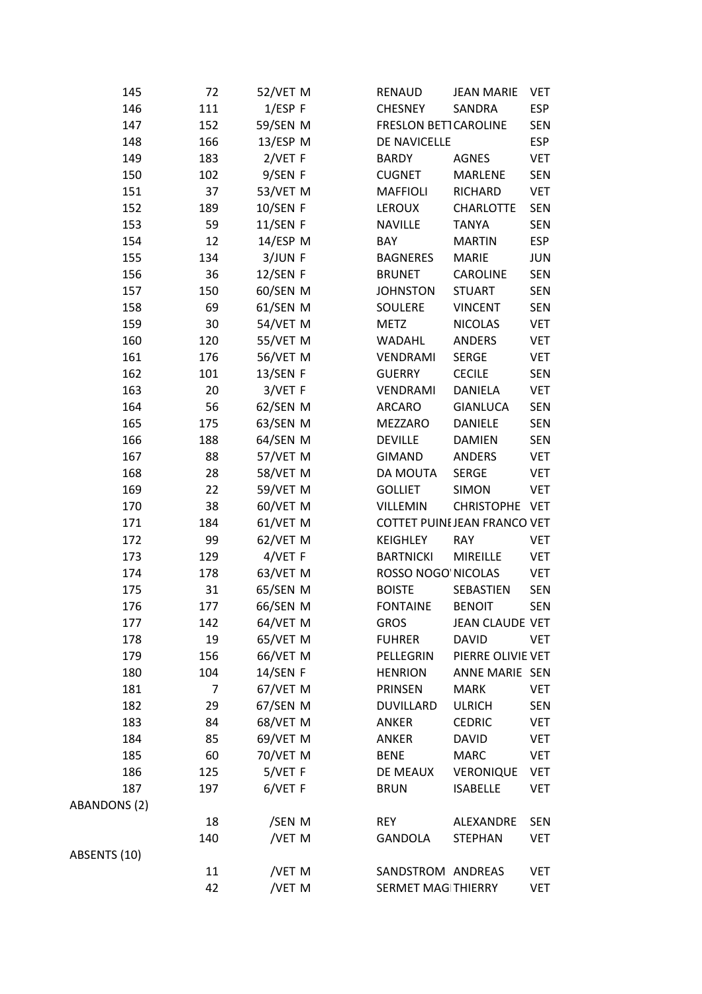| 145          | 72  | 52/VET M        | RENAUD                      | <b>JEAN MARIE</b>           | <b>VET</b> |
|--------------|-----|-----------------|-----------------------------|-----------------------------|------------|
| 146          | 111 | $1/ESP$ F       | <b>CHESNEY</b>              | SANDRA                      | <b>ESP</b> |
| 147          | 152 | 59/SEN M        | <b>FRESLON BETTCAROLINE</b> |                             | SEN        |
| 148          | 166 | $13/ESP$ M      | DE NAVICELLE                |                             | <b>ESP</b> |
| 149          | 183 | $2/VET$ F       | <b>BARDY</b>                | <b>AGNES</b>                | <b>VET</b> |
| 150          | 102 | 9/SEN F         | <b>CUGNET</b>               | MARLENE                     | <b>SEN</b> |
| 151          | 37  | 53/VET M        | <b>MAFFIOLI</b>             | RICHARD                     | <b>VET</b> |
| 152          | 189 | 10/SEN F        | <b>LEROUX</b>               | <b>CHARLOTTE</b>            | <b>SEN</b> |
| 153          | 59  | <b>11/SEN F</b> | <b>NAVILLE</b>              | <b>TANYA</b>                | <b>SEN</b> |
| 154          | 12  | $14$ /ESP M     | BAY                         | <b>MARTIN</b>               | <b>ESP</b> |
| 155          | 134 | 3/JUN F         | <b>BAGNERES</b>             | <b>MARIE</b>                | <b>JUN</b> |
| 156          | 36  | $12/SEN$ F      | <b>BRUNET</b>               | <b>CAROLINE</b>             | <b>SEN</b> |
| 157          | 150 | 60/SEN M        | <b>JOHNSTON</b>             | <b>STUART</b>               | <b>SEN</b> |
| 158          | 69  | 61/SEN M        | SOULERE                     | <b>VINCENT</b>              | <b>SEN</b> |
| 159          | 30  | 54/VET M        | <b>METZ</b>                 | <b>NICOLAS</b>              | <b>VET</b> |
| 160          | 120 | 55/VET M        | <b>WADAHL</b>               | <b>ANDERS</b>               | <b>VET</b> |
| 161          | 176 | 56/VET M        | VENDRAMI                    | <b>SERGE</b>                | <b>VET</b> |
| 162          | 101 | 13/SEN F        | <b>GUERRY</b>               | <b>CECILE</b>               | <b>SEN</b> |
| 163          | 20  | 3/VET F         | VENDRAMI                    | DANIELA                     | <b>VET</b> |
| 164          | 56  | 62/SEN M        | <b>ARCARO</b>               | <b>GIANLUCA</b>             | <b>SEN</b> |
| 165          | 175 | 63/SEN M        | MEZZARO                     | <b>DANIELE</b>              | <b>SEN</b> |
| 166          | 188 | 64/SEN M        | <b>DEVILLE</b>              | <b>DAMIEN</b>               | <b>SEN</b> |
| 167          | 88  | 57/VET M        | <b>GIMAND</b>               | <b>ANDERS</b>               | <b>VET</b> |
| 168          | 28  | 58/VET M        | DA MOUTA                    | <b>SERGE</b>                | <b>VET</b> |
| 169          | 22  | 59/VET M        | <b>GOLLIET</b>              | <b>SIMON</b>                | <b>VET</b> |
| 170          | 38  | 60/VET M        | <b>VILLEMIN</b>             | CHRISTOPHE VET              |            |
| 171          | 184 | 61/VET M        |                             | COTTET PUINEJEAN FRANCO VET |            |
| 172          | 99  | 62/VET M        | <b>KEIGHLEY</b>             | <b>RAY</b>                  | <b>VET</b> |
| 173          | 129 | 4/VET F         | <b>BARTNICKI</b>            | <b>MIREILLE</b>             | <b>VET</b> |
| 174          | 178 | 63/VET M        | ROSSO NOGO NICOLAS          |                             | VET        |
| 175          | 31  | 65/SEN M        | <b>BOISTE</b>               | SEBASTIEN                   | <b>SEN</b> |
| 176          | 177 | 66/SEN M        | <b>FONTAINE</b>             | <b>BENOIT</b>               | <b>SEN</b> |
| 177          | 142 | 64/VET M        | <b>GROS</b>                 | JEAN CLAUDE VET             |            |
| 178          | 19  | 65/VET M        | <b>FUHRER</b>               | <b>DAVID</b>                | <b>VET</b> |
| 179          | 156 | 66/VET M        | PELLEGRIN                   | PIERRE OLIVIE VET           |            |
| 180          | 104 | 14/SEN F        | <b>HENRION</b>              | ANNE MARIE SEN              |            |
| 181          | 7   | 67/VET M        | PRINSEN                     | <b>MARK</b>                 | <b>VET</b> |
| 182          | 29  | 67/SEN M        | <b>DUVILLARD</b>            | <b>ULRICH</b>               | <b>SEN</b> |
| 183          | 84  | 68/VET M        | <b>ANKER</b>                | <b>CEDRIC</b>               | <b>VET</b> |
| 184          | 85  | 69/VET M        | ANKER                       | <b>DAVID</b>                | <b>VET</b> |
| 185          | 60  | 70/VET M        | <b>BENE</b>                 | <b>MARC</b>                 | <b>VET</b> |
| 186          | 125 | 5/VET F         | DE MEAUX                    | <b>VERONIQUE</b>            | <b>VET</b> |
| 187          | 197 | 6/VET F         | <b>BRUN</b>                 | <b>ISABELLE</b>             | <b>VET</b> |
| ABANDONS (2) |     |                 |                             |                             |            |
|              | 18  | /SEN M          | <b>REY</b>                  | ALEXANDRE                   | <b>SEN</b> |
|              | 140 | /VET M          | GANDOLA                     | <b>STEPHAN</b>              | <b>VET</b> |
| ABSENTS (10) |     |                 |                             |                             |            |
|              | 11  | /VET M          | SANDSTROM ANDREAS           |                             | <b>VET</b> |
|              | 42  | /VET M          | SERMET MAG THIERRY          |                             | <b>VET</b> |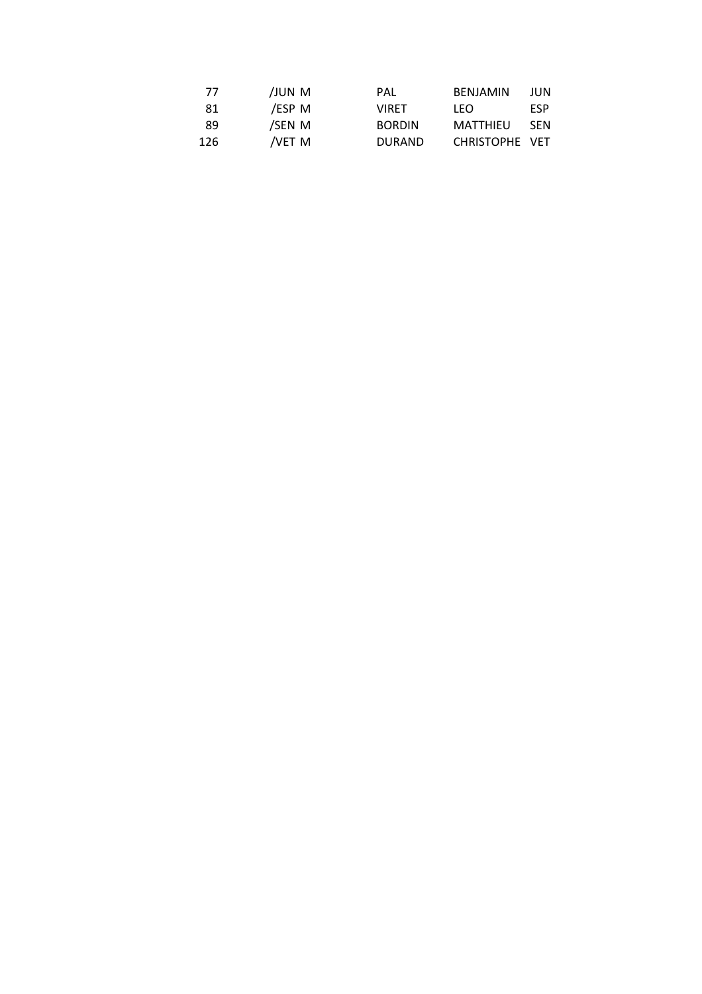| 77  | JUN M  | PAL           | BENJAMIN       | JUN        |
|-----|--------|---------------|----------------|------------|
| 81  | /ESP M | <b>VIRFT</b>  | LFO.           | <b>FSP</b> |
| 89  | /SEN M | <b>BORDIN</b> | MATTHIEU       | <b>SFN</b> |
| 126 | /VET M | <b>DURAND</b> | CHRISTOPHE VET |            |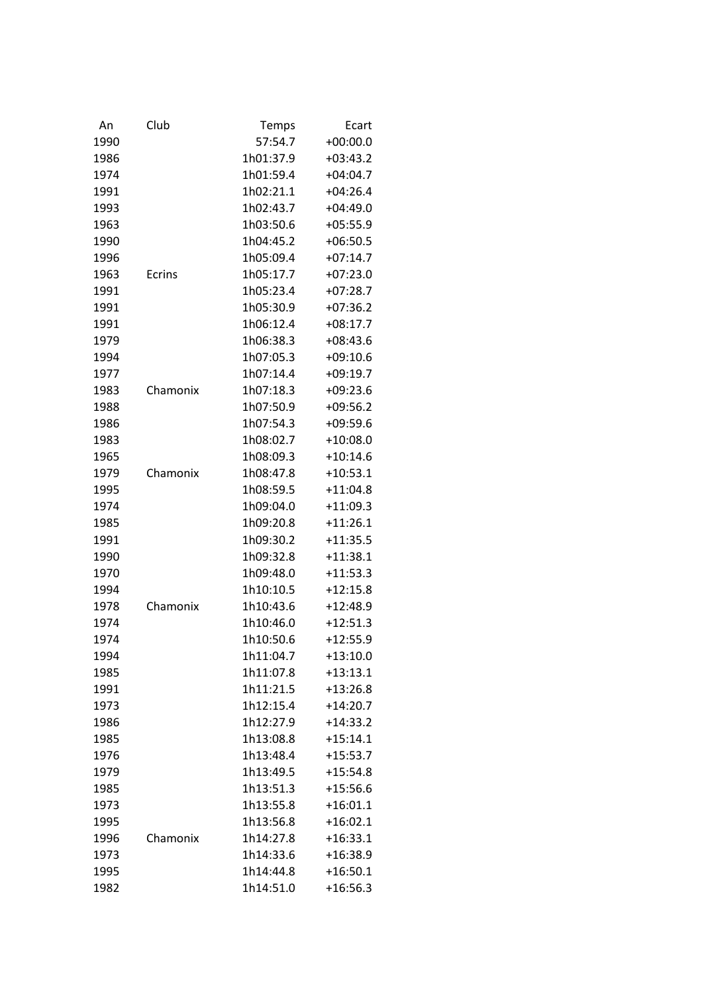| An   | Club     | Temps     | Ecart      |
|------|----------|-----------|------------|
| 1990 |          | 57:54.7   | $+00:00.0$ |
| 1986 |          | 1h01:37.9 | $+03:43.2$ |
| 1974 |          | 1h01:59.4 | $+04:04.7$ |
| 1991 |          | 1h02:21.1 | $+04:26.4$ |
| 1993 |          | 1h02:43.7 | $+04:49.0$ |
| 1963 |          | 1h03:50.6 | $+05:55.9$ |
| 1990 |          | 1h04:45.2 | $+06:50.5$ |
| 1996 |          | 1h05:09.4 | $+07:14.7$ |
| 1963 | Ecrins   | 1h05:17.7 | $+07:23.0$ |
| 1991 |          | 1h05:23.4 | $+07:28.7$ |
| 1991 |          | 1h05:30.9 | $+07:36.2$ |
| 1991 |          | 1h06:12.4 | $+08:17.7$ |
| 1979 |          | 1h06:38.3 | $+08:43.6$ |
| 1994 |          | 1h07:05.3 | $+09:10.6$ |
| 1977 |          | 1h07:14.4 | $+09:19.7$ |
| 1983 | Chamonix | 1h07:18.3 | $+09:23.6$ |
| 1988 |          | 1h07:50.9 | $+09:56.2$ |
| 1986 |          | 1h07:54.3 | $+09:59.6$ |
| 1983 |          | 1h08:02.7 | $+10:08.0$ |
| 1965 |          | 1h08:09.3 | $+10:14.6$ |
| 1979 | Chamonix | 1h08:47.8 | $+10:53.1$ |
| 1995 |          | 1h08:59.5 | $+11:04.8$ |
| 1974 |          | 1h09:04.0 | $+11:09.3$ |
| 1985 |          | 1h09:20.8 | $+11:26.1$ |
| 1991 |          | 1h09:30.2 | $+11:35.5$ |
| 1990 |          | 1h09:32.8 | $+11:38.1$ |
| 1970 |          | 1h09:48.0 | $+11:53.3$ |
| 1994 |          | 1h10:10.5 | $+12:15.8$ |
| 1978 | Chamonix | 1h10:43.6 | $+12:48.9$ |
| 1974 |          | 1h10:46.0 | $+12:51.3$ |
| 1974 |          | 1h10:50.6 | $+12:55.9$ |
| 1994 |          | 1h11:04.7 | $+13:10.0$ |
| 1985 |          | 1h11:07.8 | $+13:13.1$ |
| 1991 |          | 1h11:21.5 | $+13:26.8$ |
| 1973 |          | 1h12:15.4 | $+14:20.7$ |
| 1986 |          | 1h12:27.9 | $+14:33.2$ |
| 1985 |          | 1h13:08.8 | $+15:14.1$ |
| 1976 |          | 1h13:48.4 | $+15:53.7$ |
| 1979 |          | 1h13:49.5 | $+15:54.8$ |
| 1985 |          | 1h13:51.3 | $+15:56.6$ |
| 1973 |          | 1h13:55.8 | $+16:01.1$ |
| 1995 |          | 1h13:56.8 | $+16:02.1$ |
| 1996 | Chamonix | 1h14:27.8 | $+16:33.1$ |
| 1973 |          | 1h14:33.6 | $+16:38.9$ |
| 1995 |          | 1h14:44.8 | $+16:50.1$ |
| 1982 |          | 1h14:51.0 | $+16:56.3$ |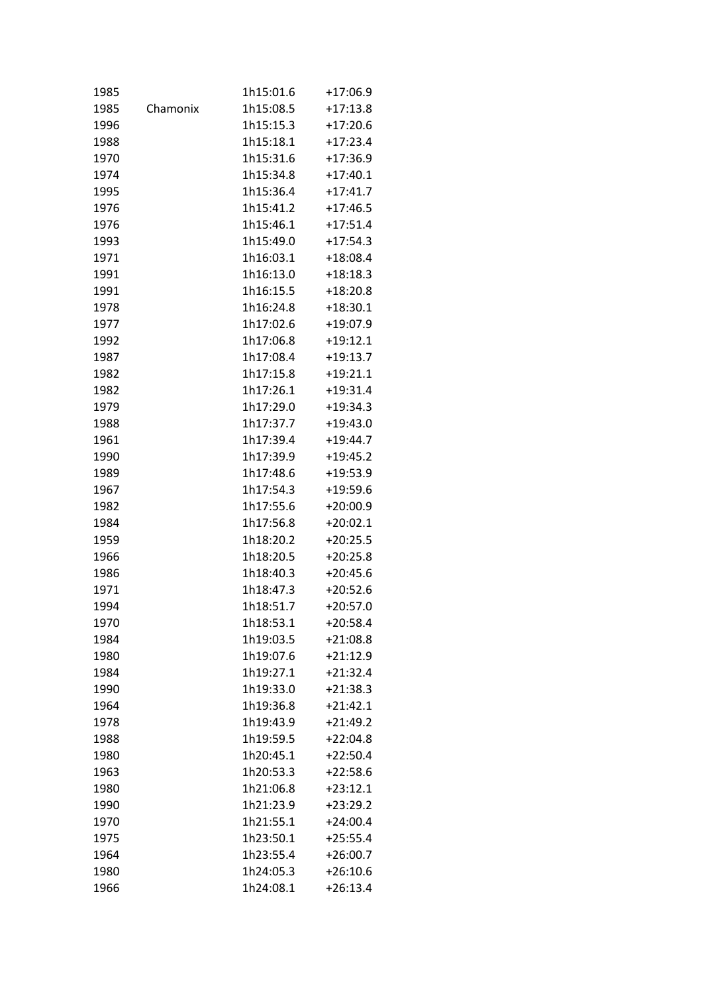| 1985 |          | 1h15:01.6 | $+17:06.9$ |
|------|----------|-----------|------------|
| 1985 | Chamonix | 1h15:08.5 | $+17:13.8$ |
| 1996 |          | 1h15:15.3 | $+17:20.6$ |
| 1988 |          | 1h15:18.1 | $+17:23.4$ |
| 1970 |          | 1h15:31.6 | $+17:36.9$ |
| 1974 |          | 1h15:34.8 | $+17:40.1$ |
| 1995 |          | 1h15:36.4 | $+17:41.7$ |
| 1976 |          | 1h15:41.2 | $+17:46.5$ |
| 1976 |          | 1h15:46.1 | $+17:51.4$ |
| 1993 |          | 1h15:49.0 | $+17:54.3$ |
| 1971 |          | 1h16:03.1 | $+18:08.4$ |
| 1991 |          | 1h16:13.0 | $+18:18.3$ |
| 1991 |          | 1h16:15.5 | $+18:20.8$ |
| 1978 |          | 1h16:24.8 | $+18:30.1$ |
| 1977 |          | 1h17:02.6 | $+19:07.9$ |
| 1992 |          | 1h17:06.8 | $+19:12.1$ |
| 1987 |          | 1h17:08.4 | $+19:13.7$ |
| 1982 |          | 1h17:15.8 | $+19:21.1$ |
| 1982 |          | 1h17:26.1 | $+19:31.4$ |
| 1979 |          | 1h17:29.0 | $+19:34.3$ |
| 1988 |          | 1h17:37.7 | $+19:43.0$ |
| 1961 |          | 1h17:39.4 | $+19:44.7$ |
| 1990 |          | 1h17:39.9 | $+19:45.2$ |
| 1989 |          | 1h17:48.6 | $+19:53.9$ |
| 1967 |          | 1h17:54.3 | $+19:59.6$ |
| 1982 |          | 1h17:55.6 | $+20:00.9$ |
| 1984 |          | 1h17:56.8 | $+20:02.1$ |
| 1959 |          | 1h18:20.2 | $+20:25.5$ |
| 1966 |          | 1h18:20.5 | $+20:25.8$ |
| 1986 |          | 1h18:40.3 | $+20:45.6$ |
| 1971 |          | 1h18:47.3 | $+20:52.6$ |
| 1994 |          | 1h18:51.7 | $+20:57.0$ |
| 1970 |          | 1h18:53.1 | $+20:58.4$ |
| 1984 |          | 1h19:03.5 | $+21:08.8$ |
| 1980 |          | 1h19:07.6 | $+21:12.9$ |
| 1984 |          | 1h19:27.1 | $+21:32.4$ |
| 1990 |          | 1h19:33.0 | $+21:38.3$ |
| 1964 |          | 1h19:36.8 | $+21:42.1$ |
| 1978 |          | 1h19:43.9 | $+21:49.2$ |
| 1988 |          | 1h19:59.5 | $+22:04.8$ |
| 1980 |          | 1h20:45.1 | $+22:50.4$ |
| 1963 |          | 1h20:53.3 | $+22:58.6$ |
| 1980 |          | 1h21:06.8 | $+23:12.1$ |
| 1990 |          | 1h21:23.9 | $+23:29.2$ |
| 1970 |          | 1h21:55.1 | $+24:00.4$ |
| 1975 |          | 1h23:50.1 | $+25:55.4$ |
| 1964 |          | 1h23:55.4 | $+26:00.7$ |
| 1980 |          | 1h24:05.3 | $+26:10.6$ |
| 1966 |          | 1h24:08.1 | $+26:13.4$ |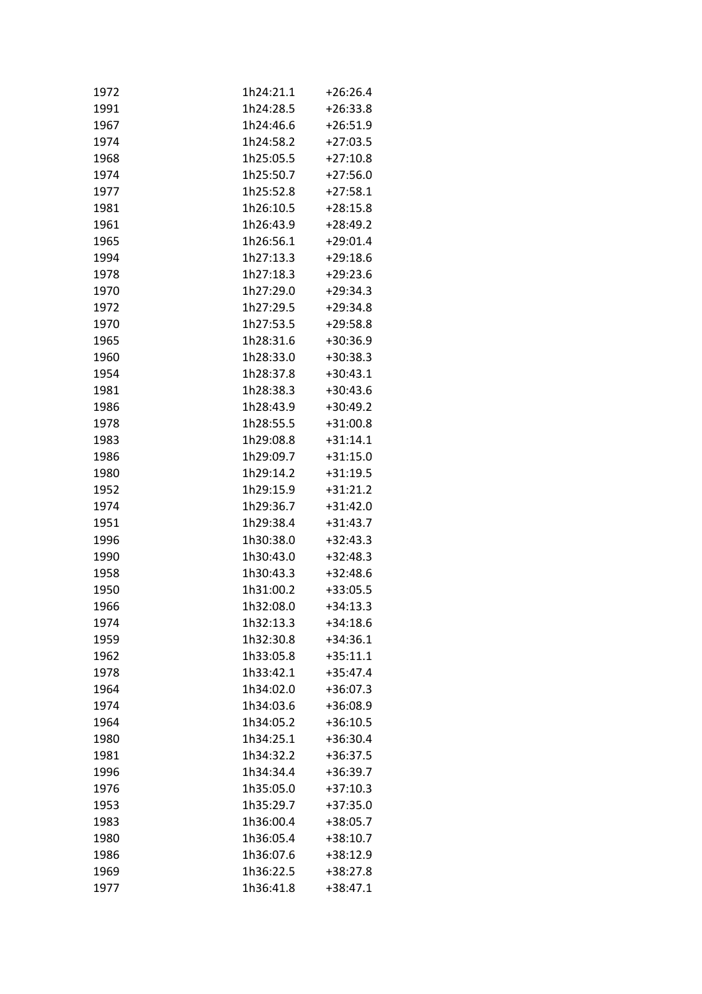| 1972 | 1h24:21.1 | $+26:26.4$ |
|------|-----------|------------|
| 1991 | 1h24:28.5 | $+26:33.8$ |
| 1967 | 1h24:46.6 | $+26:51.9$ |
| 1974 | 1h24:58.2 | $+27:03.5$ |
| 1968 | 1h25:05.5 | $+27:10.8$ |
| 1974 | 1h25:50.7 | $+27:56.0$ |
| 1977 | 1h25:52.8 | $+27:58.1$ |
| 1981 | 1h26:10.5 | $+28:15.8$ |
| 1961 | 1h26:43.9 | $+28:49.2$ |
| 1965 | 1h26:56.1 | $+29:01.4$ |
| 1994 | 1h27:13.3 | $+29:18.6$ |
| 1978 | 1h27:18.3 | $+29:23.6$ |
| 1970 | 1h27:29.0 | $+29:34.3$ |
| 1972 | 1h27:29.5 | $+29:34.8$ |
| 1970 | 1h27:53.5 | $+29:58.8$ |
| 1965 | 1h28:31.6 | $+30:36.9$ |
| 1960 | 1h28:33.0 | $+30:38.3$ |
| 1954 | 1h28:37.8 | $+30:43.1$ |
| 1981 | 1h28:38.3 | $+30:43.6$ |
| 1986 | 1h28:43.9 | $+30:49.2$ |
| 1978 | 1h28:55.5 | $+31:00.8$ |
| 1983 | 1h29:08.8 | $+31:14.1$ |
| 1986 | 1h29:09.7 | $+31:15.0$ |
| 1980 | 1h29:14.2 | $+31:19.5$ |
| 1952 | 1h29:15.9 | $+31:21.2$ |
| 1974 | 1h29:36.7 | $+31:42.0$ |
| 1951 | 1h29:38.4 | $+31:43.7$ |
| 1996 | 1h30:38.0 | $+32:43.3$ |
| 1990 | 1h30:43.0 | $+32:48.3$ |
| 1958 | 1h30:43.3 | $+32:48.6$ |
| 1950 | 1h31:00.2 | $+33:05.5$ |
| 1966 | 1h32:08.0 | $+34:13.3$ |
| 1974 | 1h32:13.3 | $+34:18.6$ |
| 1959 | 1h32:30.8 | $+34:36.1$ |
| 1962 | 1h33:05.8 | $+35:11.1$ |
| 1978 | 1h33:42.1 | $+35:47.4$ |
| 1964 | 1h34:02.0 | $+36:07.3$ |
| 1974 | 1h34:03.6 | +36:08.9   |
| 1964 | 1h34:05.2 | $+36:10.5$ |
| 1980 | 1h34:25.1 | $+36:30.4$ |
| 1981 | 1h34:32.2 | $+36:37.5$ |
| 1996 | 1h34:34.4 | $+36:39.7$ |
| 1976 | 1h35:05.0 | $+37:10.3$ |
| 1953 | 1h35:29.7 | $+37:35.0$ |
| 1983 | 1h36:00.4 | $+38:05.7$ |
| 1980 | 1h36:05.4 | $+38:10.7$ |
| 1986 | 1h36:07.6 | $+38:12.9$ |
| 1969 | 1h36:22.5 | $+38:27.8$ |
| 1977 | 1h36:41.8 | $+38:47.1$ |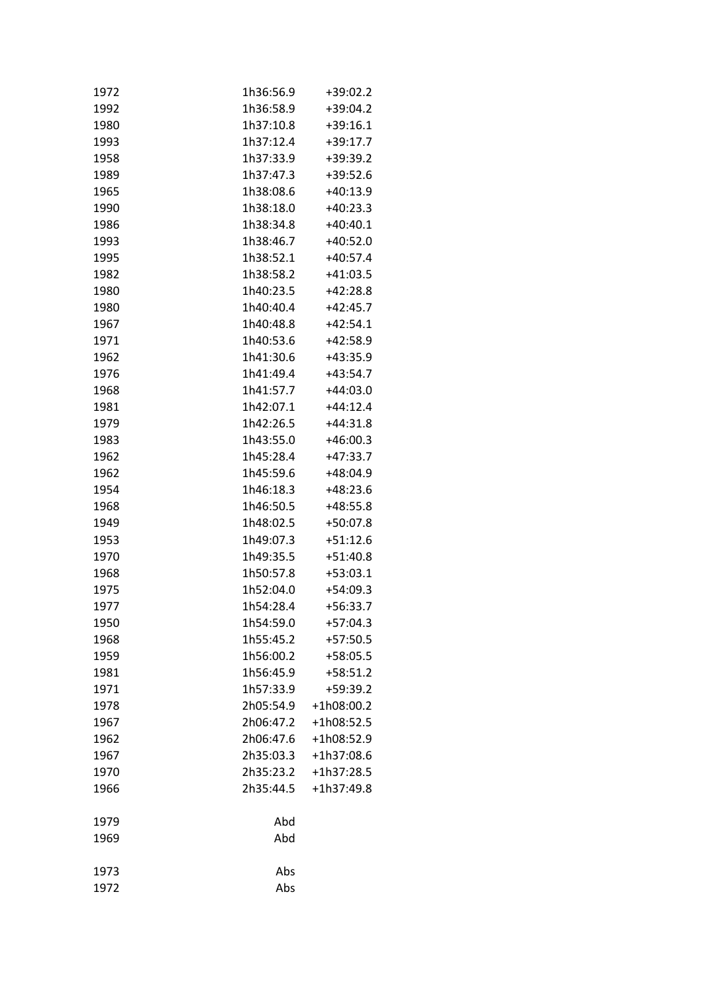| 1972 | 1h36:56.9 | +39:02.2   |
|------|-----------|------------|
| 1992 | 1h36:58.9 | $+39:04.2$ |
| 1980 | 1h37:10.8 | $+39:16.1$ |
| 1993 | 1h37:12.4 | $+39:17.7$ |
| 1958 | 1h37:33.9 | $+39:39.2$ |
| 1989 | 1h37:47.3 | $+39:52.6$ |
| 1965 | 1h38:08.6 | $+40:13.9$ |
| 1990 | 1h38:18.0 | $+40:23.3$ |
| 1986 | 1h38:34.8 | $+40:40.1$ |
| 1993 | 1h38:46.7 | $+40:52.0$ |
| 1995 | 1h38:52.1 | $+40:57.4$ |
| 1982 | 1h38:58.2 | $+41:03.5$ |
| 1980 | 1h40:23.5 | $+42:28.8$ |
| 1980 | 1h40:40.4 | $+42:45.7$ |
| 1967 | 1h40:48.8 | $+42:54.1$ |
| 1971 | 1h40:53.6 | +42:58.9   |
| 1962 | 1h41:30.6 | $+43:35.9$ |
| 1976 | 1h41:49.4 | $+43:54.7$ |
| 1968 | 1h41:57.7 | $+44:03.0$ |
| 1981 | 1h42:07.1 | $+44:12.4$ |
| 1979 | 1h42:26.5 | $+44:31.8$ |
| 1983 | 1h43:55.0 | $+46:00.3$ |
| 1962 | 1h45:28.4 | $+47:33.7$ |
| 1962 | 1h45:59.6 | $+48:04.9$ |
| 1954 | 1h46:18.3 | $+48:23.6$ |
| 1968 | 1h46:50.5 | $+48:55.8$ |
| 1949 | 1h48:02.5 | $+50:07.8$ |
| 1953 | 1h49:07.3 | $+51:12.6$ |
| 1970 | 1h49:35.5 | $+51:40.8$ |
| 1968 | 1h50:57.8 | $+53:03.1$ |
| 1975 | 1h52:04.0 | $+54:09.3$ |
| 1977 | 1h54:28.4 | $+56:33.7$ |
| 1950 | 1h54:59.0 | $+57:04.3$ |
| 1968 | 1h55:45.2 | $+57:50.5$ |
| 1959 | 1h56:00.2 | $+58:05.5$ |
| 1981 | 1h56:45.9 | $+58:51.2$ |
| 1971 | 1h57:33.9 | +59:39.2   |
| 1978 | 2h05:54.9 | +1h08:00.2 |
| 1967 | 2h06:47.2 | +1h08:52.5 |
| 1962 | 2h06:47.6 | +1h08:52.9 |
| 1967 | 2h35:03.3 | +1h37:08.6 |
| 1970 | 2h35:23.2 | +1h37:28.5 |
| 1966 | 2h35:44.5 | +1h37:49.8 |
| 1979 | Abd       |            |
| 1969 | Abd       |            |
| 1973 | Abs       |            |
| 1972 | Abs       |            |
|      |           |            |